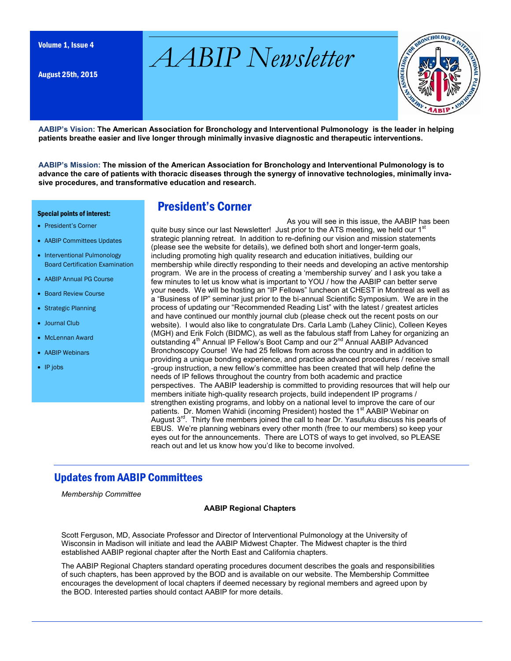Volume 1, Issue 4 *AABIP Newsletter*

August 25th, 2015



**AABIP's Vision: The American Association for Bronchology and Interventional Pulmonology is the leader in helping patients breathe easier and live longer through minimally invasive diagnostic and therapeutic interventions.**

**AABIP's Mission: The mission of the American Association for Bronchology and Interventional Pulmonology is to advance the care of patients with thoracic diseases through the synergy of innovative technologies, minimally invasive procedures, and transformative education and research.** 

#### Special points of interest:

- President's Corner
- AABIP Committees Updates
- Interventional Pulmonology Board Certification Examination
- AABIP Annual PG Course
- Board Review Course
- Strategic Planning
- Journal Club
- McLennan Award
- AABIP Webinars
- $\bullet$  IP jobs

### President's Corner

As you will see in this issue, the AABIP has been quite busy since our last Newsletter! Just prior to the ATS meeting, we held our 1<sup>st</sup> strategic planning retreat. In addition to re-defining our vision and mission statements (please see the website for details), we defined both short and longer-term goals, including promoting high quality research and education initiatives, building our membership while directly responding to their needs and developing an active mentorship program. We are in the process of creating a 'membership survey' and I ask you take a few minutes to let us know what is important to YOU / how the AABIP can better serve your needs. We will be hosting an "IP Fellows" luncheon at CHEST in Montreal as well as a "Business of IP" seminar just prior to the bi-annual Scientific Symposium. We are in the process of updating our "Recommended Reading List" with the latest / greatest articles and have continued our monthly journal club (please check out the recent posts on our website). I would also like to congratulate Drs. Carla Lamb (Lahey Clinic), Colleen Keyes (MGH) and Erik Folch (BIDMC), as well as the fabulous staff from Lahey for organizing an outstanding  $4<sup>th</sup>$  Annual IP Fellow's Boot Camp and our  $2<sup>nd</sup>$  Annual AABIP Advanced Bronchoscopy Course! We had 25 fellows from across the country and in addition to providing a unique bonding experience, and practice advanced procedures / receive small -group instruction, a new fellow's committee has been created that will help define the needs of IP fellows throughout the country from both academic and practice perspectives. The AABIP leadership is committed to providing resources that will help our members initiate high-quality research projects, build independent IP programs / strengthen existing programs, and lobby on a national level to improve the care of our patients. Dr. Momen Wahidi (incoming President) hosted the 1<sup>st</sup> AABIP Webinar on August  $3<sup>rd</sup>$ . Thirty five members joined the call to hear Dr. Yasufuku discuss his pearls of EBUS. We're planning webinars every other month (free to our members) so keep your eyes out for the announcements. There are LOTS of ways to get involved, so PLEASE reach out and let us know how you'd like to become involved.

### Updates from AABIP Committees

*Membership Committee*

### **AABIP Regional Chapters**

Scott Ferguson, MD, Associate Professor and Director of Interventional Pulmonology at the University of Wisconsin in Madison will initiate and lead the AABIP Midwest Chapter. The Midwest chapter is the third established AABIP regional chapter after the North East and California chapters.

The AABIP Regional Chapters standard operating procedures document describes the goals and responsibilities of such chapters, has been approved by the BOD and is available on our website. The Membership Committee encourages the development of local chapters if deemed necessary by regional members and agreed upon by the BOD. Interested parties should contact AABIP for more details.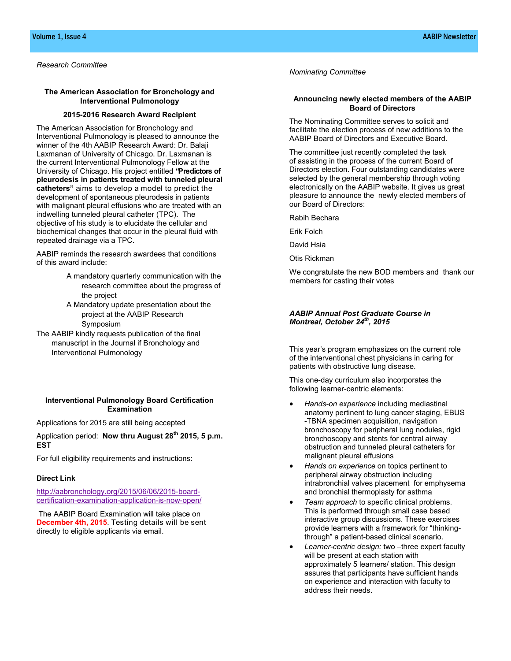### **The American Association for Bronchology and Interventional Pulmonology**

### **2015-2016 Research Award Recipient**

The American Association for Bronchology and Interventional Pulmonology is pleased to announce the winner of the 4th AABIP Research Award: Dr. Balaji Laxmanan of University of Chicago. Dr. Laxmanan is the current Interventional Pulmonology Fellow at the University of Chicago. His project entitled **"Predictors of pleurodesis in patients treated with tunneled pleural catheters"** aims to develop a model to predict the development of spontaneous pleurodesis in patients with malignant pleural effusions who are treated with an indwelling tunneled pleural catheter (TPC). The objective of his study is to elucidate the cellular and biochemical changes that occur in the pleural fluid with repeated drainage via a TPC.

AABIP reminds the research awardees that conditions of this award include:

- A mandatory quarterly communication with the research committee about the progress of the project
- A Mandatory update presentation about the project at the AABIP Research Symposium
- The AABIP kindly requests publication of the final manuscript in the Journal if Bronchology and Interventional Pulmonology

### **Interventional Pulmonology Board Certification Examination**

Applications for 2015 are still being accepted

Application period: **Now thru August 28th 2015, 5 p.m. EST**

For full eligibility requirements and instructions:

#### **Direct Link**

[http://aabronchology.org/2015/06/06/2015](http://aabronchology.org/2015/06/06/2015-board-certification-examination-application-is-now-open/)-boardcertification-[examination](http://aabronchology.org/2015/06/06/2015-board-certification-examination-application-is-now-open/)-application-is-now-open/

The AABIP Board Examination will take place on **December 4th, 2015**. Testing details will be sent directly to eligible applicants via email.

*Nominating Committee*

### **Announcing newly elected members of the AABIP Board of Directors**

The Nominating Committee serves to solicit and facilitate the election process of new additions to the AABIP Board of Directors and Executive Board.

The committee just recently completed the task of assisting in the process of the current Board of Directors election. Four outstanding candidates were selected by the general membership through voting electronically on the AABIP website. It gives us great pleasure to announce the newly elected members of our Board of Directors:

Rabih Bechara

Erik Folch

David Hsia

Otis Rickman

We congratulate the new BOD members and thank our members for casting their votes

### *AABIP Annual Post Graduate Course in Montreal, October 24th, 2015*

This year's program emphasizes on the current role of the interventional chest physicians in caring for patients with obstructive lung disease.

This one-day curriculum also incorporates the following learner-centric elements:

- *Hands-on experience* including mediastinal anatomy pertinent to lung cancer staging, EBUS -TBNA specimen acquisition, navigation bronchoscopy for peripheral lung nodules, rigid bronchoscopy and stents for central airway obstruction and tunneled pleural catheters for malignant pleural effusions
- *Hands on experience* on topics pertinent to peripheral airway obstruction including intrabronchial valves placement for emphysema and bronchial thermoplasty for asthma
- *Team approach* to specific clinical problems. This is performed through small case based interactive group discussions. These exercises provide learners with a framework for "thinkingthrough" a patient-based clinical scenario.
- *Learner-centric design:* two –three expert faculty will be present at each station with approximately 5 learners/ station. This design assures that participants have sufficient hands on experience and interaction with faculty to address their needs.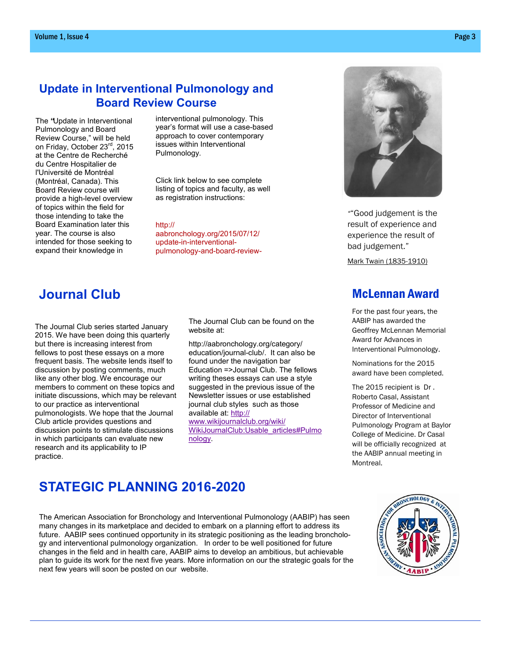## **Update in Interventional Pulmonology and Board Review Course**

The **"**Update in Interventional Pulmonology and Board Review Course," will be held on Friday, October 23rd, 2015 at the Centre de Recherché du Centre Hospitalier de l'Université de Montréal (Montréal, Canada). This Board Review course will provide a high-level overview of topics within the field for those intending to take the Board Examination later this year. The course is also intended for those seeking to expand their knowledge in

interventional pulmonology. This year's format will use a case-based approach to cover contemporary issues within Interventional Pulmonology.

Click link below to see complete listing of topics and faculty, as well as registration instructions:

#### [http://](http://aabronchology.org/2015/07/12/update-in-interventional-pulmonology-and-board-review-course/)

[aabronchology.org/2015/07/12/](http://aabronchology.org/2015/07/12/update-in-interventional-pulmonology-and-board-review-course/) update-in-[interventional](http://aabronchology.org/2015/07/12/update-in-interventional-pulmonology-and-board-review-course/)[pulmonology](http://aabronchology.org/2015/07/12/update-in-interventional-pulmonology-and-board-review-course/)-and-board-review-

# **Journal Club**

The Journal Club series started January 2015. We have been doing this quarterly but there is increasing interest from fellows to post these essays on a more frequent basis. The website lends itself to discussion by posting comments, much like any other blog. We encourage our members to comment on these topics and initiate discussions, which may be relevant to our practice as interventional pulmonologists. We hope that the Journal Club article provides questions and discussion points to stimulate discussions in which participants can evaluate new research and its applicability to IP practice.

The Journal Club can be found on the website at:

[http://aabronchology.org/category/](http://aabronchology.org/category/education/journal-club/) [education/journal](http://aabronchology.org/category/education/journal-club/)-club/. It can also be found under the navigation bar Education =>Journal Club. The fellows writing theses essays can use a style suggested in the previous issue of the Newsletter issues or use established journal club styles such as those available at: [http://](http://www.wikijournalclub.org/wiki/WikiJournalClub:Usable_articles#Pulmonology)

[www.wikijournalclub.org/wiki/](http://www.wikijournalclub.org/wiki/WikiJournalClub:Usable_articles#Pulmonology) [WikiJournalClub:Usable\\_articles#Pulmo](http://www.wikijournalclub.org/wiki/WikiJournalClub:Usable_articles#Pulmonology) [nology.](http://www.wikijournalclub.org/wiki/WikiJournalClub:Usable_articles#Pulmonology)



*"*"Good judgement is the result of experience and experience the result of bad judgement."

Mark Twain (1835-1910)

### McLennan Award

For the past four years, the AABIP has awarded the Geoffrey McLennan Memorial Award for Advances in Interventional Pulmonology.

Nominations for the 2015 award have been completed.

The 2015 recipient is Dr . Roberto Casal, Assistant Professor of Medicine and Director of Interventional Pulmonology Program at Baylor College of Medicine. Dr Casal will be officially recognized at the AABIP annual meeting in Montreal.

# **STATEGIC PLANNING 2016-2020**

The American Association for Bronchology and Interventional Pulmonology (AABIP) has seen many changes in its marketplace and decided to embark on a planning effort to address its future. AABIP sees continued opportunity in its strategic positioning as the leading bronchology and interventional pulmonology organization. In order to be well positioned for future changes in the field and in health care, AABIP aims to develop an ambitious, but achievable plan to guide its work for the next five years. More information on our the strategic goals for the next few years will soon be posted on our website.

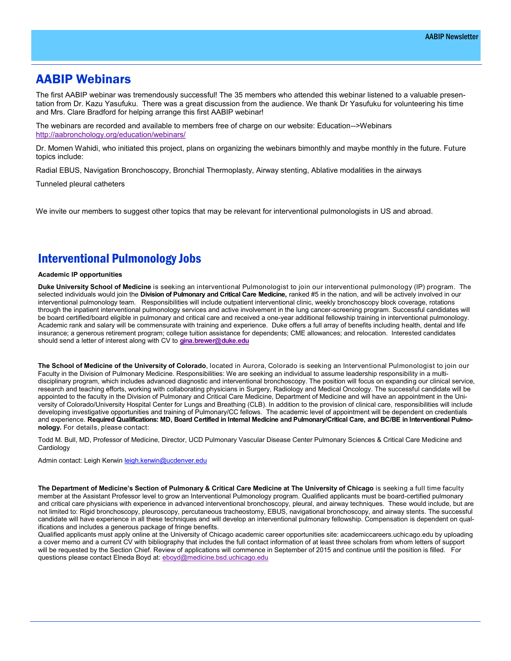### AABIP Webinars

The first AABIP webinar was tremendously successful! The 35 members who attended this webinar listened to a valuable presentation from Dr. Kazu Yasufuku. There was a great discussion from the audience. We thank Dr Yasufuku for volunteering his time and Mrs. Clare Bradford for helping arrange this first AABIP webinar!

The webinars are recorded and available to members free of charge on our website: Education-->Webinars <http://aabronchology.org/education/webinars/>

Dr. Momen Wahidi, who initiated this project, plans on organizing the webinars bimonthly and maybe monthly in the future. Future topics include:

Radial EBUS, Navigation Bronchoscopy, Bronchial Thermoplasty, Airway stenting, Ablative modalities in the airways

Tunneled pleural catheters

We invite our members to suggest other topics that may be relevant for interventional pulmonologists in US and abroad.

### Interventional Pulmonology Jobs

#### **Academic IP opportunities**

**Duke University School of Medicine** is seeking an interventional Pulmonologist to join our interventional pulmonology (IP) program. The selected individuals would join the **Division of Pulmonary and Critical Care Medicine,** ranked #5 in the nation, and will be actively involved in our interventional pulmonology team. Responsibilities will include outpatient interventional clinic, weekly bronchoscopy block coverage, rotations through the inpatient interventional pulmonology services and active involvement in the lung cancer-screening program. Successful candidates will be board certified/board eligible in pulmonary and critical care and received a one-year additional fellowship training in interventional pulmonology. Academic rank and salary will be commensurate with training and experience. Duke offers a full array of benefits including health, dental and life insurance; a generous retirement program; college tuition assistance for dependents; CME allowances; and relocation. Interested candidates should send a letter of interest along with CV to **[gina.brewer@duke.edu](mailto:gina.brewer@duke.edu)**

**The School of Medicine of the University of Colorado**, located in Aurora, Colorado is seeking an Interventional Pulmonologist to join our Faculty in the Division of Pulmonary Medicine. Responsibilities: We are seeking an individual to assume leadership responsibility in a multidisciplinary program, which includes advanced diagnostic and interventional bronchoscopy. The position will focus on expanding our clinical service, research and teaching efforts, working with collaborating physicians in Surgery, Radiology and Medical Oncology. The successful candidate will be appointed to the faculty in the Division of Pulmonary and Critical Care Medicine, Department of Medicine and will have an appointment in the University of Colorado/University Hospital Center for Lungs and Breathing (CLB). In addition to the provision of clinical care, responsibilities will include developing investigative opportunities and training of Pulmonary/CC fellows. The academic level of appointment will be dependent on credentials and experience. **Required Qualifications: MD, Board Certified in Internal Medicine and Pulmonary/Critical Care, and BC/BE in Interventional Pulmonology.** For details, please contact:

Todd M. Bull, MD, Professor of Medicine, Director, UCD Pulmonary Vascular Disease Center Pulmonary Sciences & Critical Care Medicine and Cardiology

Admin contact: Leigh Kerwin [leigh.kerwin@ucdenver.edu](mailto:leigh.kerwin@ucdenver.edu)

**The Department of Medicine's Section of Pulmonary & Critical Care Medicine at The University of Chicago** is seeking a full time faculty member at the Assistant Professor level to grow an Interventional Pulmonology program. Qualified applicants must be board-certified pulmonary and critical care physicians with experience in advanced interventional bronchoscopy, pleural, and airway techniques. These would include, but are not limited to: Rigid bronchoscopy, pleuroscopy, percutaneous tracheostomy, EBUS, navigational bronchoscopy, and airway stents. The successful candidate will have experience in all these techniques and will develop an interventional pulmonary fellowship. Compensation is dependent on qualifications and includes a generous package of fringe benefits.

Qualified applicants must apply online at the University of Chicago academic career opportunities site: academiccareers.uchicago.edu by uploading a cover memo and a current CV with bibliography that includes the full contact information of at least three scholars from whom letters of support will be requested by the Section Chief. Review of applications will commence in September of 2015 and continue until the position is filled. For questions please contact Elneda Boyd at: [eboyd@medicine.bsd.uchicago.edu](mailto:eboyd@medicine.bsd.uchicago.edu)